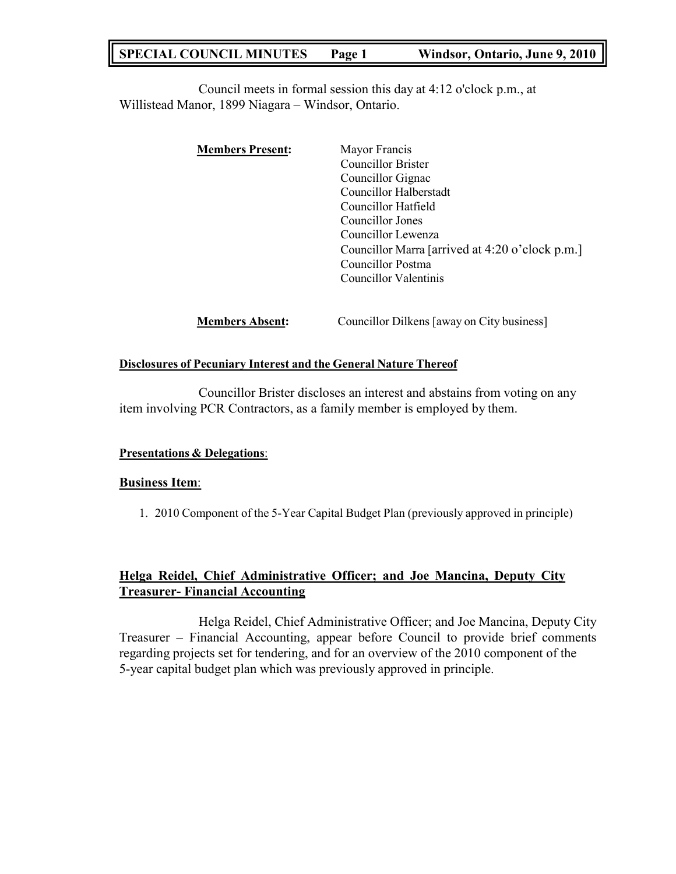# **SPECIAL COUNCIL MINUTES Page 1 Windsor, Ontario, June 9, 2010**

Council meets in formal session this day at 4:12 o'clock p.m., at Willistead Manor, 1899 Niagara – Windsor, Ontario.

| <b>Members Present:</b> | Mayor Francis                                   |
|-------------------------|-------------------------------------------------|
|                         | Councillor Brister                              |
|                         | Councillor Gignac                               |
|                         | Councillor Halberstadt                          |
|                         | Councillor Hatfield                             |
|                         | Councillor Jones                                |
|                         | Councillor Lewenza                              |
|                         | Councillor Marra [arrived at 4:20 o'clock p.m.] |
|                         | Councillor Postma                               |
|                         | Councillor Valentinis                           |
|                         |                                                 |
|                         |                                                 |

**Members Absent:** Councillor Dilkens [away on City business]

## **Disclosures of Pecuniary Interest and the General Nature Thereof**

Councillor Brister discloses an interest and abstains from voting on any item involving PCR Contractors, as a family member is employed by them.

## **Presentations & Delegations**:

#### **Business Item**:

1. 2010 Component of the 5-Year Capital Budget Plan (previously approved in principle)

## **Helga Reidel, Chief Administrative Officer; and Joe Mancina, Deputy City Treasurer- Financial Accounting**

Helga Reidel, Chief Administrative Officer; and Joe Mancina, Deputy City Treasurer – Financial Accounting, appear before Council to provide brief comments regarding projects set for tendering, and for an overview of the 2010 component of the 5-year capital budget plan which was previously approved in principle.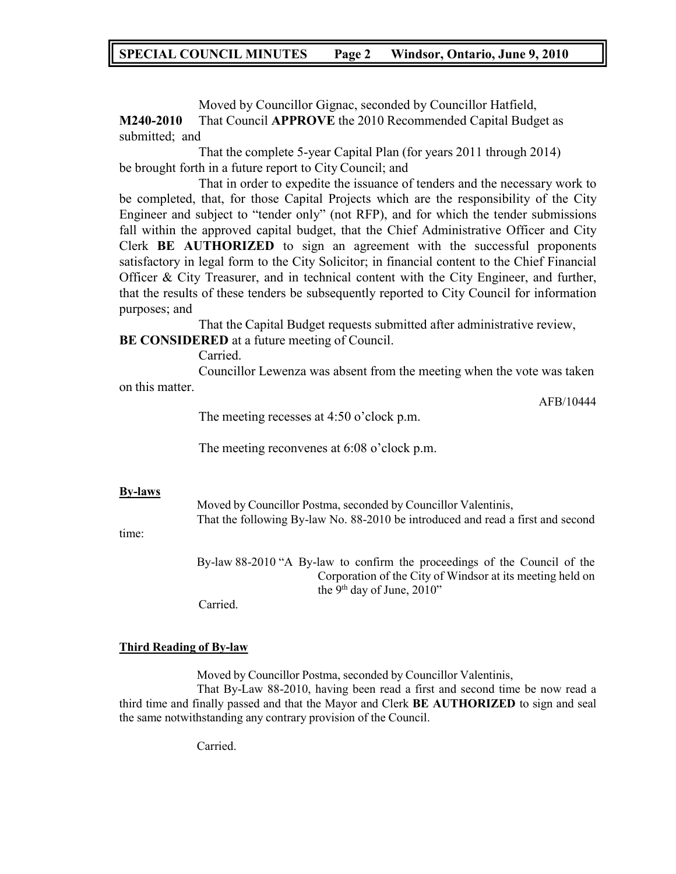## **SPECIAL COUNCIL MINUTES Page 2 Windsor, Ontario, June 9, 2010**

Moved by Councillor Gignac, seconded by Councillor Hatfield, **M240-2010** That Council **APPROVE** the 2010 Recommended Capital Budget as submitted; and

That the complete 5-year Capital Plan (for years 2011 through 2014) be brought forth in a future report to City Council; and

That in order to expedite the issuance of tenders and the necessary work to be completed, that, for those Capital Projects which are the responsibility of the City Engineer and subject to "tender only" (not RFP), and for which the tender submissions fall within the approved capital budget, that the Chief Administrative Officer and City Clerk **BE AUTHORIZED** to sign an agreement with the successful proponents satisfactory in legal form to the City Solicitor; in financial content to the Chief Financial Officer & City Treasurer, and in technical content with the City Engineer, and further, that the results of these tenders be subsequently reported to City Council for information purposes; and

That the Capital Budget requests submitted after administrative review, **BE CONSIDERED** at a future meeting of Council.

Carried.

Councillor Lewenza was absent from the meeting when the vote was taken on this matter.

AFB/10444

The meeting recesses at 4:50 o'clock p.m.

The meeting reconvenes at 6:08 o'clock p.m.

#### **By-laws**

Moved by Councillor Postma, seconded by Councillor Valentinis, That the following By-law No. 88-2010 be introduced and read a first and second

time:

By-law 88-2010 "A By-law to confirm the proceedings of the Council of the Corporation of the City of Windsor at its meeting held on the 9<sup>th</sup> day of June, 2010"

Carried.

#### **Third Reading of By-law**

Moved by Councillor Postma, seconded by Councillor Valentinis,

That By-Law 88-2010, having been read a first and second time be now read a third time and finally passed and that the Mayor and Clerk **BE AUTHORIZED** to sign and seal the same notwithstanding any contrary provision of the Council.

Carried.